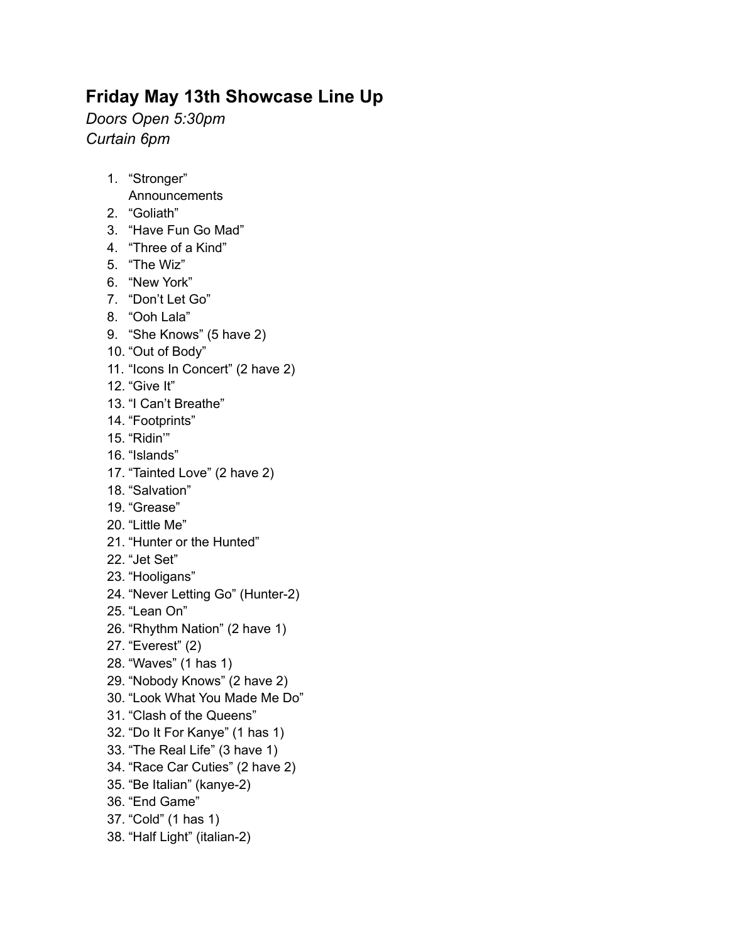## **Friday May 13th Showcase Line Up**

*Doors Open 5:30pm Curtain 6pm*

- 1. "Stronger"
	- Announcements
- 2. "Goliath"
- 3. "Have Fun Go Mad"
- 4. "Three of a Kind"
- 5. "The Wiz"
- 6. "New York"
- 7. "Don't Let Go"
- 8. "Ooh Lala"
- 9. "She Knows" (5 have 2)
- 10. "Out of Body"
- 11. "Icons In Concert" (2 have 2)
- 12. "Give It"
- 13. "I Can't Breathe"
- 14. "Footprints"
- 15. "Ridin'"
- 16. "Islands"
- 17. "Tainted Love" (2 have 2)
- 18. "Salvation"
- 19. "Grease"
- 20. "Little Me"
- 21. "Hunter or the Hunted"
- 22. "Jet Set"
- 23. "Hooligans"
- 24. "Never Letting Go" (Hunter-2)
- 25. "Lean On"
- 26. "Rhythm Nation" (2 have 1)
- 27. "Everest" (2)
- 28. "Waves" (1 has 1)
- 29. "Nobody Knows" (2 have 2)
- 30. "Look What You Made Me Do"
- 31. "Clash of the Queens"
- 32. "Do It For Kanye" (1 has 1)
- 33. "The Real Life" (3 have 1)
- 34. "Race Car Cuties" (2 have 2)
- 35. "Be Italian" (kanye-2)
- 36. "End Game"
- 37. "Cold" (1 has 1)
- 38. "Half Light" (italian-2)